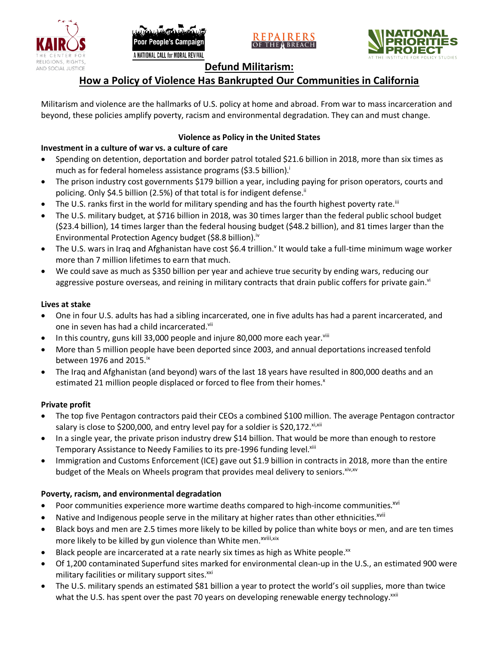







# **Defund Militarism:**

# **How a Policy of Violence Has Bankrupted Our Communities in California**

Militarism and violence are the hallmarks of U.S. policy at home and abroad. From war to mass incarceration and beyond, these policies amplify poverty, racism and environmental degradation. They can and must change.

# **Violence as Policy in the United States**

### **Investment in a culture of war vs. a culture of care**

- Spending on detention, deportation and border patrol totaled \$21.6 billion in 2018, more than six times as much as for federal homeless assistance programs (\$3.5 billion).<sup>i</sup>
- The prison industry cost governments \$179 billion a year, including paying for prison operators, courts and policing. Only \$4.5 billion (2.5%) of that total is for indigent defense.<sup>ii</sup>
- The U.S. ranks first in the world for military spending and has the fourth highest poverty rate.<sup>iii</sup>
- The U.S. military budget, at \$716 billion in 2018, was 30 times larger than the federal public school budget (\$23.4 billion), 14 times larger than the federal housing budget (\$48.2 billion), and 81 times larger than the Environmental Protection Agency budget (\$8.8 billion).<sup>iv</sup>
- The U.S. wars in Iraq and Afghanistan have cost \$6.4 trillion.<sup>v</sup> It would take a full-time minimum wage worker more than 7 million lifetimes to earn that much.
- We could save as much as \$350 billion per year and achieve true security by ending wars, reducing our aggressive posture overseas, and reining in military contracts that drain public coffers for private gain.<sup>vi</sup>

### **Lives at stake**

- One in four U.S. adults has had a sibling incarcerated, one in five adults has had a parent incarcerated, and one in seven has had a child incarcerated.vii
- In this country, guns kill 33,000 people and injure 80,000 more each year. $v_{\text{lin}}$
- More than 5 million people have been deported since 2003, and annual deportations increased tenfold between 1976 and 2015. $\mathrm{i}$ <sup>x</sup>
- The Iraq and Afghanistan (and beyond) wars of the last 18 years have resulted in 800,000 deaths and an estimated 21 million people displaced or forced to flee from their homes.<sup>x</sup>

#### **Private profit**

- The top five Pentagon contractors paid their CEOs a combined \$100 million. The average Pentagon contractor salary is close to \$200,000, and entry level pay for a soldier is \$20,172. xi,xii
- In a single year, the private prison industry drew \$14 billion. That would be more than enough to restore Temporary Assistance to Needy Families to its pre-1996 funding level.<sup>xiii</sup>
- Immigration and Customs Enforcement (ICE) gave out \$1.9 billion in contracts in 2018, more than the entire budget of the Meals on Wheels program that provides meal delivery to seniors. Xiv, XV

# **Poverty, racism, and environmental degradation**

- Poor communities experience more wartime deaths compared to high-income communities.<sup>xvi</sup>
- Native and Indigenous people serve in the military at higher rates than other ethnicities.<sup>xvii</sup>
- Black boys and men are 2.5 times more likely to be killed by police than white boys or men, and are ten times more likely to be killed by gun violence than White men.<sup>xviii,xix</sup>
- Black people are incarcerated at a rate nearly six times as high as White people.<sup>xx</sup>
- Of 1,200 contaminated Superfund sites marked for environmental clean-up in the U.S., an estimated 900 were military facilities or military support sites.<sup>xxi</sup>
- The U.S. military spends an estimated \$81 billion a year to protect the world's oil supplies, more than twice what the U.S. has spent over the past 70 years on developing renewable energy technology.<sup>xxii</sup>